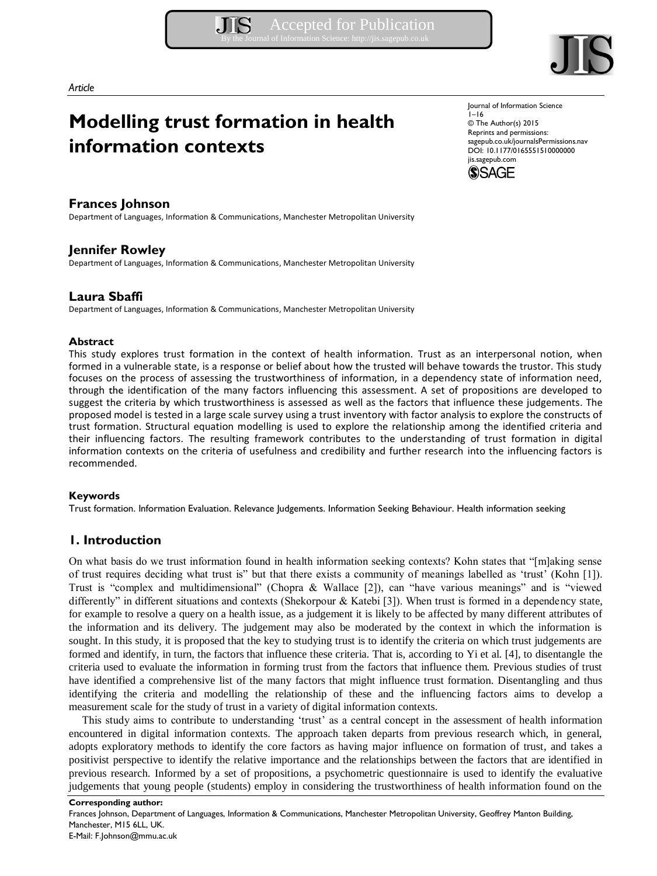

*Article* 

# **Modelling trust formation in health information contexts**

.IIS

# **Frances Johnson**

Department of Languages, Information & Communications, Manchester Metropolitan University

# **Jennifer Rowley**

Department of Languages, Information & Communications, Manchester Metropolitan University

# **Laura Sbaffi**

Department of Languages, Information & Communications, Manchester Metropolitan University

## **Abstract**

This study explores trust formation in the context of health information. Trust as an interpersonal notion, when formed in a vulnerable state, is a response or belief about how the trusted will behave towards the trustor. This study focuses on the process of assessing the trustworthiness of information, in a dependency state of information need, through the identification of the many factors influencing this assessment. A set of propositions are developed to suggest the criteria by which trustworthiness is assessed as well as the factors that influence these judgements. The proposed model is tested in a large scale survey using a trust inventory with factor analysis to explore the constructs of trust formation. Structural equation modelling is used to explore the relationship among the identified criteria and their influencing factors. The resulting framework contributes to the understanding of trust formation in digital information contexts on the criteria of usefulness and credibility and further research into the influencing factors is recommended.

## **Keywords**

Trust formation. Information Evaluation. Relevance Judgements. Information Seeking Behaviour. Health information seeking

# **1. Introduction**

On what basis do we trust information found in health information seeking contexts? Kohn states that "[m]aking sense of trust requires deciding what trust is" but that there exists a community of meanings labelled as 'trust' (Kohn [1]). Trust is "complex and multidimensional" (Chopra & Wallace [2]), can "have various meanings" and is "viewed differently" in different situations and contexts (Shekorpour & Katebi [3]). When trust is formed in a dependency state, for example to resolve a query on a health issue, as a judgement it is likely to be affected by many different attributes of the information and its delivery. The judgement may also be moderated by the context in which the information is sought. In this study, it is proposed that the key to studying trust is to identify the criteria on which trust judgements are formed and identify, in turn, the factors that influence these criteria. That is, according to Yi et al. [4], to disentangle the criteria used to evaluate the information in forming trust from the factors that influence them. Previous studies of trust have identified a comprehensive list of the many factors that might influence trust formation. Disentangling and thus identifying the criteria and modelling the relationship of these and the influencing factors aims to develop a measurement scale for the study of trust in a variety of digital information contexts.

This study aims to contribute to understanding 'trust' as a central concept in the assessment of health information encountered in digital information contexts. The approach taken departs from previous research which, in general, adopts exploratory methods to identify the core factors as having major influence on formation of trust, and takes a positivist perspective to identify the relative importance and the relationships between the factors that are identified in previous research. Informed by a set of propositions, a psychometric questionnaire is used to identify the evaluative judgements that young people (students) employ in considering the trustworthiness of health information found on the

**Corresponding author:**  Frances Johnson, Department of Languages, Information & Communications, Manchester Metropolitan University, Geoffrey Manton Building, Manchester, M15 6LL, UK. E-Mail: F.Johnson@mmu.ac.uk

Journal of Information Science  $1 - 16$ © The Author(s) 2015 Reprints and permissions: sagepub.co.uk/journalsPermissions.nav DOI: 10.1177/0165551510000000 jis.sagepub.com

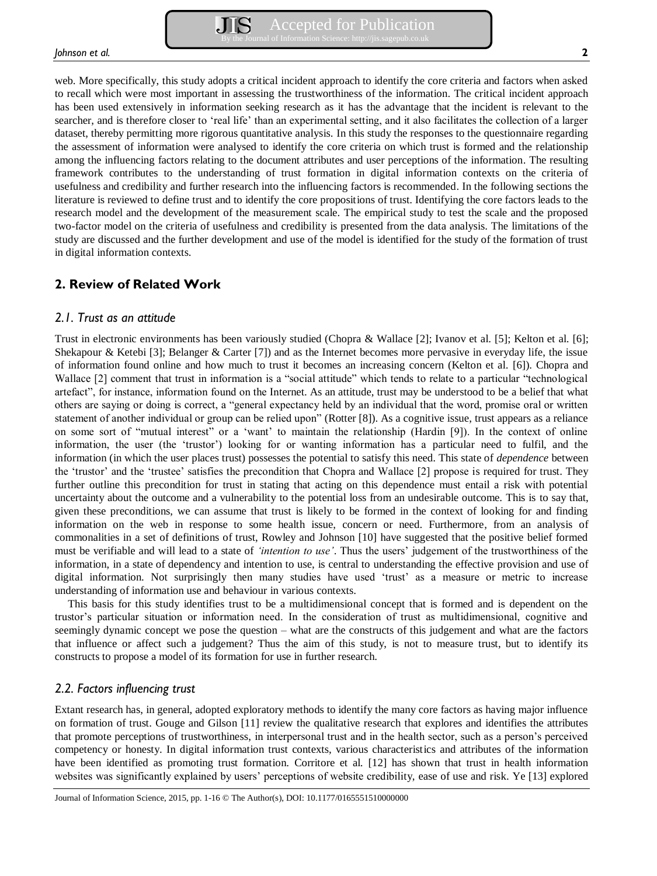web. More specifically, this study adopts a critical incident approach to identify the core criteria and factors when asked to recall which were most important in assessing the trustworthiness of the information. The critical incident approach has been used extensively in information seeking research as it has the advantage that the incident is relevant to the searcher, and is therefore closer to 'real life' than an experimental setting, and it also facilitates the collection of a larger dataset, thereby permitting more rigorous quantitative analysis. In this study the responses to the questionnaire regarding the assessment of information were analysed to identify the core criteria on which trust is formed and the relationship among the influencing factors relating to the document attributes and user perceptions of the information. The resulting framework contributes to the understanding of trust formation in digital information contexts on the criteria of usefulness and credibility and further research into the influencing factors is recommended. In the following sections the literature is reviewed to define trust and to identify the core propositions of trust. Identifying the core factors leads to the research model and the development of the measurement scale. The empirical study to test the scale and the proposed two-factor model on the criteria of usefulness and credibility is presented from the data analysis. The limitations of the study are discussed and the further development and use of the model is identified for the study of the formation of trust in digital information contexts.

# **2. Review of Related Work**

## *2.1. Trust as an attitude*

Trust in electronic environments has been variously studied (Chopra & Wallace [2]; Ivanov et al. [5]; Kelton et al. [6]; Shekapour & Ketebi [3]; Belanger & Carter [7]) and as the Internet becomes more pervasive in everyday life, the issue of information found online and how much to trust it becomes an increasing concern (Kelton et al. [6]). Chopra and Wallace [2] comment that trust in information is a "social attitude" which tends to relate to a particular "technological artefact", for instance, information found on the Internet. As an attitude, trust may be understood to be a belief that what others are saying or doing is correct, a "general expectancy held by an individual that the word, promise oral or written statement of another individual or group can be relied upon" (Rotter [8]). As a cognitive issue, trust appears as a reliance on some sort of "mutual interest" or a 'want' to maintain the relationship (Hardin [9]). In the context of online information, the user (the 'trustor') looking for or wanting information has a particular need to fulfil, and the information (in which the user places trust) possesses the potential to satisfy this need. This state of *dependence* between the 'trustor' and the 'trustee' satisfies the precondition that Chopra and Wallace [2] propose is required for trust. They further outline this precondition for trust in stating that acting on this dependence must entail a risk with potential uncertainty about the outcome and a vulnerability to the potential loss from an undesirable outcome. This is to say that, given these preconditions, we can assume that trust is likely to be formed in the context of looking for and finding information on the web in response to some health issue, concern or need. Furthermore, from an analysis of commonalities in a set of definitions of trust, Rowley and Johnson [10] have suggested that the positive belief formed must be verifiable and will lead to a state of *'intention to use'*. Thus the users' judgement of the trustworthiness of the information, in a state of dependency and intention to use, is central to understanding the effective provision and use of digital information. Not surprisingly then many studies have used 'trust' as a measure or metric to increase understanding of information use and behaviour in various contexts.

This basis for this study identifies trust to be a multidimensional concept that is formed and is dependent on the trustor's particular situation or information need. In the consideration of trust as multidimensional, cognitive and seemingly dynamic concept we pose the question – what are the constructs of this judgement and what are the factors that influence or affect such a judgement? Thus the aim of this study, is not to measure trust, but to identify its constructs to propose a model of its formation for use in further research.

# *2.2. Factors influencing trust*

Extant research has, in general, adopted exploratory methods to identify the many core factors as having major influence on formation of trust. Gouge and Gilson [11] review the qualitative research that explores and identifies the attributes that promote perceptions of trustworthiness, in interpersonal trust and in the health sector, such as a person's perceived competency or honesty. In digital information trust contexts, various characteristics and attributes of the information have been identified as promoting trust formation. Corritore et al. [12] has shown that trust in health information websites was significantly explained by users' perceptions of website credibility, ease of use and risk. Ye [13] explored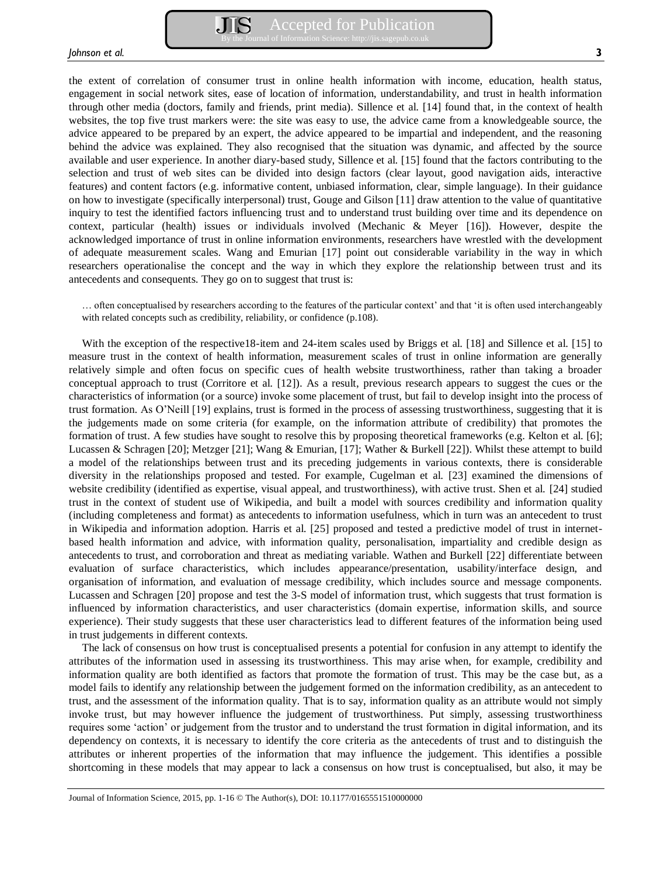the extent of correlation of consumer trust in online health information with income, education, health status, engagement in social network sites, ease of location of information, understandability, and trust in health information through other media (doctors, family and friends, print media). Sillence et al. [14] found that, in the context of health websites, the top five trust markers were: the site was easy to use, the advice came from a knowledgeable source, the advice appeared to be prepared by an expert, the advice appeared to be impartial and independent, and the reasoning behind the advice was explained. They also recognised that the situation was dynamic, and affected by the source available and user experience. In another diary-based study, Sillence et al. [15] found that the factors contributing to the selection and trust of web sites can be divided into design factors (clear layout, good navigation aids, interactive features) and content factors (e.g. informative content, unbiased information, clear, simple language). In their guidance on how to investigate (specifically interpersonal) trust, Gouge and Gilson [11] draw attention to the value of quantitative inquiry to test the identified factors influencing trust and to understand trust building over time and its dependence on context, particular (health) issues or individuals involved (Mechanic & Meyer [16]). However, despite the acknowledged importance of trust in online information environments, researchers have wrestled with the development of adequate measurement scales. Wang and Emurian [17] point out considerable variability in the way in which researchers operationalise the concept and the way in which they explore the relationship between trust and its antecedents and consequents. They go on to suggest that trust is:

… often conceptualised by researchers according to the features of the particular context' and that 'it is often used interchangeably with related concepts such as credibility, reliability, or confidence (p.108).

With the exception of the respective18-item and 24-item scales used by Briggs et al. [18] and Sillence et al. [15] to measure trust in the context of health information, measurement scales of trust in online information are generally relatively simple and often focus on specific cues of health website trustworthiness, rather than taking a broader conceptual approach to trust (Corritore et al. [12]). As a result, previous research appears to suggest the cues or the characteristics of information (or a source) invoke some placement of trust, but fail to develop insight into the process of trust formation. As O'Neill [19] explains, trust is formed in the process of assessing trustworthiness, suggesting that it is the judgements made on some criteria (for example, on the information attribute of credibility) that promotes the formation of trust. A few studies have sought to resolve this by proposing theoretical frameworks (e.g. Kelton et al. [6]; Lucassen & Schragen [20]; Metzger [21]; Wang & Emurian, [17]; Wather & Burkell [22]). Whilst these attempt to build a model of the relationships between trust and its preceding judgements in various contexts, there is considerable diversity in the relationships proposed and tested. For example, Cugelman et al. [23] examined the dimensions of website credibility (identified as expertise, visual appeal, and trustworthiness), with active trust. Shen et al. [24] studied trust in the context of student use of Wikipedia, and built a model with sources credibility and information quality (including completeness and format) as antecedents to information usefulness, which in turn was an antecedent to trust in Wikipedia and information adoption. Harris et al. [25] proposed and tested a predictive model of trust in internetbased health information and advice, with information quality, personalisation, impartiality and credible design as antecedents to trust, and corroboration and threat as mediating variable. Wathen and Burkell [22] differentiate between evaluation of surface characteristics, which includes appearance/presentation, usability/interface design, and organisation of information, and evaluation of message credibility, which includes source and message components. Lucassen and Schragen [20] propose and test the 3-S model of information trust, which suggests that trust formation is influenced by information characteristics, and user characteristics (domain expertise, information skills, and source experience). Their study suggests that these user characteristics lead to different features of the information being used in trust judgements in different contexts.

The lack of consensus on how trust is conceptualised presents a potential for confusion in any attempt to identify the attributes of the information used in assessing its trustworthiness. This may arise when, for example, credibility and information quality are both identified as factors that promote the formation of trust. This may be the case but, as a model fails to identify any relationship between the judgement formed on the information credibility, as an antecedent to trust, and the assessment of the information quality. That is to say, information quality as an attribute would not simply invoke trust, but may however influence the judgement of trustworthiness. Put simply, assessing trustworthiness requires some 'action' or judgement from the trustor and to understand the trust formation in digital information, and its dependency on contexts, it is necessary to identify the core criteria as the antecedents of trust and to distinguish the attributes or inherent properties of the information that may influence the judgement. This identifies a possible shortcoming in these models that may appear to lack a consensus on how trust is conceptualised, but also, it may be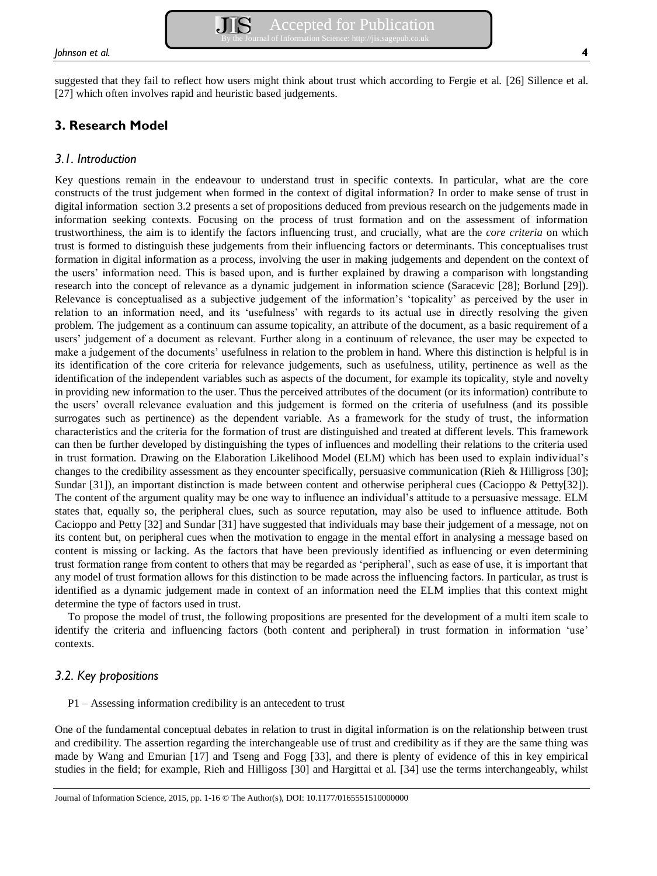# **3. Research Model**

# *3.1. Introduction*

Key questions remain in the endeavour to understand trust in specific contexts. In particular, what are the core constructs of the trust judgement when formed in the context of digital information? In order to make sense of trust in digital information section 3.2 presents a set of propositions deduced from previous research on the judgements made in information seeking contexts. Focusing on the process of trust formation and on the assessment of information trustworthiness, the aim is to identify the factors influencing trust, and crucially, what are the *core criteria* on which trust is formed to distinguish these judgements from their influencing factors or determinants. This conceptualises trust formation in digital information as a process, involving the user in making judgements and dependent on the context of the users' information need. This is based upon, and is further explained by drawing a comparison with longstanding research into the concept of relevance as a dynamic judgement in information science (Saracevic [28]; Borlund [29]). Relevance is conceptualised as a subjective judgement of the information's 'topicality' as perceived by the user in relation to an information need, and its 'usefulness' with regards to its actual use in directly resolving the given problem. The judgement as a continuum can assume topicality, an attribute of the document, as a basic requirement of a users' judgement of a document as relevant. Further along in a continuum of relevance, the user may be expected to make a judgement of the documents' usefulness in relation to the problem in hand. Where this distinction is helpful is in its identification of the core criteria for relevance judgements, such as usefulness, utility, pertinence as well as the identification of the independent variables such as aspects of the document, for example its topicality, style and novelty in providing new information to the user. Thus the perceived attributes of the document (or its information) contribute to the users' overall relevance evaluation and this judgement is formed on the criteria of usefulness (and its possible surrogates such as pertinence) as the dependent variable. As a framework for the study of trust, the information characteristics and the criteria for the formation of trust are distinguished and treated at different levels. This framework can then be further developed by distinguishing the types of influences and modelling their relations to the criteria used in trust formation. Drawing on the Elaboration Likelihood Model (ELM) which has been used to explain individual's changes to the credibility assessment as they encounter specifically, persuasive communication (Rieh & Hilligross [30]; Sundar [31]), an important distinction is made between content and otherwise peripheral cues (Cacioppo & Petty[32]). The content of the argument quality may be one way to influence an individual's attitude to a persuasive message. ELM states that, equally so, the peripheral clues, such as source reputation, may also be used to influence attitude. Both Cacioppo and Petty [32] and Sundar [31] have suggested that individuals may base their judgement of a message, not on its content but, on peripheral cues when the motivation to engage in the mental effort in analysing a message based on content is missing or lacking. As the factors that have been previously identified as influencing or even determining trust formation range from content to others that may be regarded as 'peripheral', such as ease of use, it is important that any model of trust formation allows for this distinction to be made across the influencing factors. In particular, as trust is identified as a dynamic judgement made in context of an information need the ELM implies that this context might determine the type of factors used in trust.

To propose the model of trust, the following propositions are presented for the development of a multi item scale to identify the criteria and influencing factors (both content and peripheral) in trust formation in information 'use' contexts.

# *3.2. Key propositions*

P1 – Assessing information credibility is an antecedent to trust

One of the fundamental conceptual debates in relation to trust in digital information is on the relationship between trust and credibility. The assertion regarding the interchangeable use of trust and credibility as if they are the same thing was made by Wang and Emurian [17] and Tseng and Fogg [33], and there is plenty of evidence of this in key empirical studies in the field; for example, Rieh and Hilligoss [30] and Hargittai et al. [34] use the terms interchangeably, whilst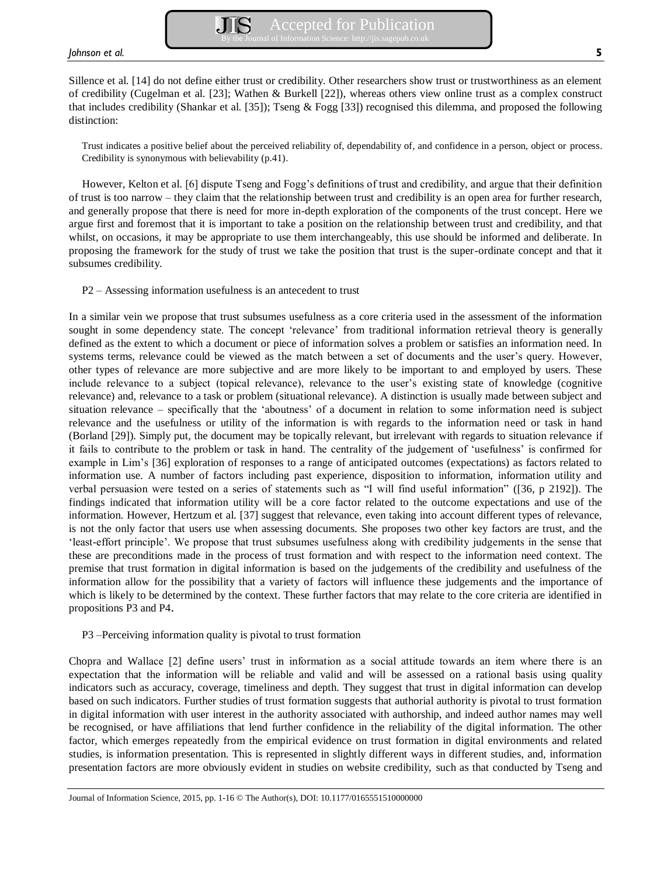Sillence et al. [14] do not define either trust or credibility. Other researchers show trust or trustworthiness as an element of credibility (Cugelman et al. [23]; Wathen & Burkell [22]), whereas others view online trust as a complex construct that includes credibility (Shankar et al. [35]); Tseng & Fogg [33]) recognised this dilemma, and proposed the following distinction:

Trust indicates a positive belief about the perceived reliability of, dependability of, and confidence in a person, object or process. Credibility is synonymous with believability (p.41).

However, Kelton et al. [6] dispute Tseng and Fogg's definitions of trust and credibility, and argue that their definition of trust is too narrow – they claim that the relationship between trust and credibility is an open area for further research, and generally propose that there is need for more in-depth exploration of the components of the trust concept. Here we argue first and foremost that it is important to take a position on the relationship between trust and credibility, and that whilst, on occasions, it may be appropriate to use them interchangeably, this use should be informed and deliberate. In proposing the framework for the study of trust we take the position that trust is the super-ordinate concept and that it subsumes credibility.

P2 – Assessing information usefulness is an antecedent to trust

In a similar vein we propose that trust subsumes usefulness as a core criteria used in the assessment of the information sought in some dependency state. The concept 'relevance' from traditional information retrieval theory is generally defined as the extent to which a document or piece of information solves a problem or satisfies an information need. In systems terms, relevance could be viewed as the match between a set of documents and the user's query. However, other types of relevance are more subjective and are more likely to be important to and employed by users. These include relevance to a subject (topical relevance), relevance to the user's existing state of knowledge (cognitive relevance) and, relevance to a task or problem (situational relevance). A distinction is usually made between subject and situation relevance – specifically that the 'aboutness' of a document in relation to some information need is subject relevance and the usefulness or utility of the information is with regards to the information need or task in hand (Borland [29]). Simply put, the document may be topically relevant, but irrelevant with regards to situation relevance if it fails to contribute to the problem or task in hand. The centrality of the judgement of 'usefulness' is confirmed for example in Lim's [36] exploration of responses to a range of anticipated outcomes (expectations) as factors related to information use. A number of factors including past experience, disposition to information, information utility and verbal persuasion were tested on a series of statements such as "I will find useful information" ([36, p 2192]). The findings indicated that information utility will be a core factor related to the outcome expectations and use of the information. However, Hertzum et al. [37] suggest that relevance, even taking into account different types of relevance, is not the only factor that users use when assessing documents. She proposes two other key factors are trust, and the 'least-effort principle'. We propose that trust subsumes usefulness along with credibility judgements in the sense that these are preconditions made in the process of trust formation and with respect to the information need context. The premise that trust formation in digital information is based on the judgements of the credibility and usefulness of the information allow for the possibility that a variety of factors will influence these judgements and the importance of which is likely to be determined by the context. These further factors that may relate to the core criteria are identified in propositions P3 and P4.

## P3 –Perceiving information quality is pivotal to trust formation

Chopra and Wallace [2] define users' trust in information as a social attitude towards an item where there is an expectation that the information will be reliable and valid and will be assessed on a rational basis using quality indicators such as accuracy, coverage, timeliness and depth. They suggest that trust in digital information can develop based on such indicators. Further studies of trust formation suggests that authorial authority is pivotal to trust formation in digital information with user interest in the authority associated with authorship, and indeed author names may well be recognised, or have affiliations that lend further confidence in the reliability of the digital information. The other factor, which emerges repeatedly from the empirical evidence on trust formation in digital environments and related studies, is information presentation. This is represented in slightly different ways in different studies, and, information presentation factors are more obviously evident in studies on website credibility, such as that conducted by Tseng and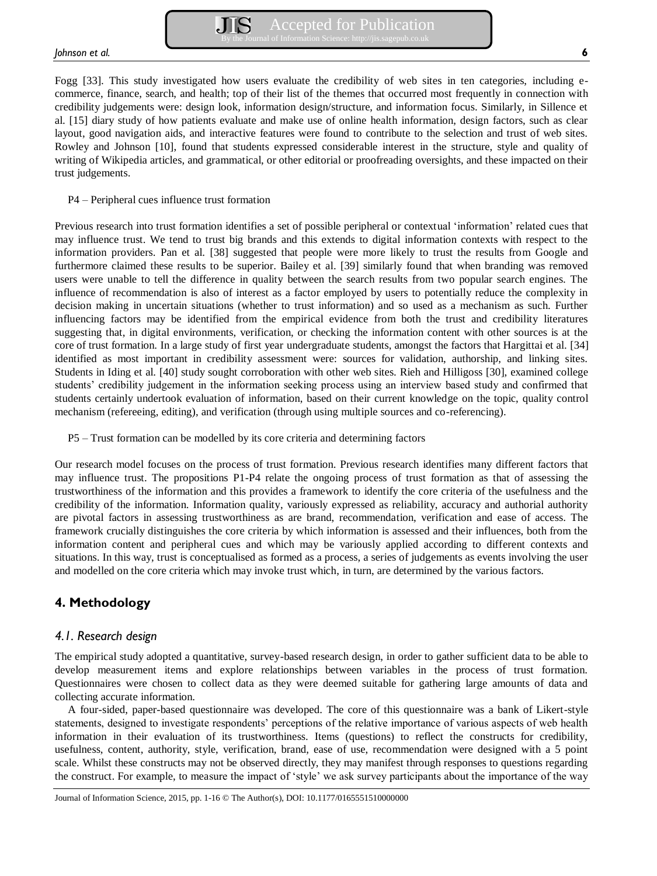Fogg [33]. This study investigated how users evaluate the credibility of web sites in ten categories, including ecommerce, finance, search, and health; top of their list of the themes that occurred most frequently in connection with credibility judgements were: design look, information design/structure, and information focus. Similarly, in Sillence et al. [15] diary study of how patients evaluate and make use of online health information, design factors, such as clear layout, good navigation aids, and interactive features were found to contribute to the selection and trust of web sites. Rowley and Johnson [10], found that students expressed considerable interest in the structure, style and quality of writing of Wikipedia articles, and grammatical, or other editorial or proofreading oversights, and these impacted on their trust judgements.

## P4 – Peripheral cues influence trust formation

Previous research into trust formation identifies a set of possible peripheral or contextual 'information' related cues that may influence trust. We tend to trust big brands and this extends to digital information contexts with respect to the information providers. Pan et al. [38] suggested that people were more likely to trust the results from Google and furthermore claimed these results to be superior. Bailey et al. [39] similarly found that when branding was removed users were unable to tell the difference in quality between the search results from two popular search engines. The influence of recommendation is also of interest as a factor employed by users to potentially reduce the complexity in decision making in uncertain situations (whether to trust information) and so used as a mechanism as such. Further influencing factors may be identified from the empirical evidence from both the trust and credibility literatures suggesting that, in digital environments, verification, or checking the information content with other sources is at the core of trust formation. In a large study of first year undergraduate students, amongst the factors that Hargittai et al. [34] identified as most important in credibility assessment were: sources for validation, authorship, and linking sites. Students in Iding et al. [40] study sought corroboration with other web sites. Rieh and Hilligoss [30], examined college students' credibility judgement in the information seeking process using an interview based study and confirmed that students certainly undertook evaluation of information, based on their current knowledge on the topic, quality control mechanism (refereeing, editing), and verification (through using multiple sources and co-referencing).

P5 – Trust formation can be modelled by its core criteria and determining factors

Our research model focuses on the process of trust formation. Previous research identifies many different factors that may influence trust. The propositions P1-P4 relate the ongoing process of trust formation as that of assessing the trustworthiness of the information and this provides a framework to identify the core criteria of the usefulness and the credibility of the information. Information quality, variously expressed as reliability, accuracy and authorial authority are pivotal factors in assessing trustworthiness as are brand, recommendation, verification and ease of access. The framework crucially distinguishes the core criteria by which information is assessed and their influences, both from the information content and peripheral cues and which may be variously applied according to different contexts and situations. In this way, trust is conceptualised as formed as a process, a series of judgements as events involving the user and modelled on the core criteria which may invoke trust which, in turn, are determined by the various factors.

# **4. Methodology**

# *4.1. Research design*

The empirical study adopted a quantitative, survey-based research design, in order to gather sufficient data to be able to develop measurement items and explore relationships between variables in the process of trust formation. Questionnaires were chosen to collect data as they were deemed suitable for gathering large amounts of data and collecting accurate information.

A four-sided, paper-based questionnaire was developed. The core of this questionnaire was a bank of Likert-style statements, designed to investigate respondents' perceptions of the relative importance of various aspects of web health information in their evaluation of its trustworthiness. Items (questions) to reflect the constructs for credibility, usefulness, content, authority, style, verification, brand, ease of use, recommendation were designed with a 5 point scale. Whilst these constructs may not be observed directly, they may manifest through responses to questions regarding the construct. For example, to measure the impact of 'style' we ask survey participants about the importance of the way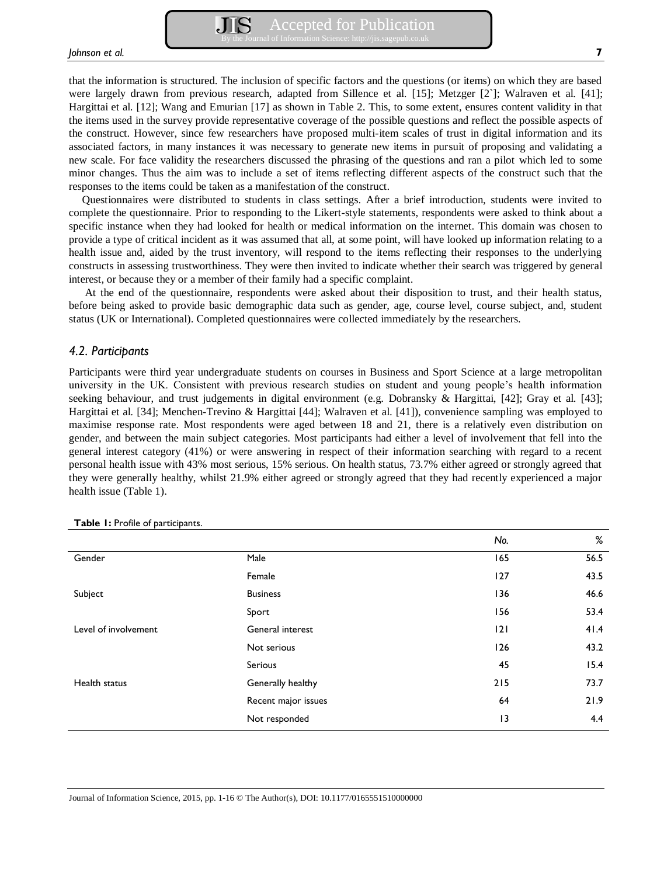that the information is structured. The inclusion of specific factors and the questions (or items) on which they are based were largely drawn from previous research, adapted from Sillence et al. [15]; Metzger [2`]; Walraven et al. [41]; Hargittai et al. [12]; Wang and Emurian [17] as shown in Table 2. This, to some extent, ensures content validity in that the items used in the survey provide representative coverage of the possible questions and reflect the possible aspects of the construct. However, since few researchers have proposed multi-item scales of trust in digital information and its associated factors, in many instances it was necessary to generate new items in pursuit of proposing and validating a new scale. For face validity the researchers discussed the phrasing of the questions and ran a pilot which led to some minor changes. Thus the aim was to include a set of items reflecting different aspects of the construct such that the responses to the items could be taken as a manifestation of the construct.

Questionnaires were distributed to students in class settings. After a brief introduction, students were invited to complete the questionnaire. Prior to responding to the Likert-style statements, respondents were asked to think about a specific instance when they had looked for health or medical information on the internet. This domain was chosen to provide a type of critical incident as it was assumed that all, at some point, will have looked up information relating to a health issue and, aided by the trust inventory, will respond to the items reflecting their responses to the underlying constructs in assessing trustworthiness. They were then invited to indicate whether their search was triggered by general interest, or because they or a member of their family had a specific complaint.

 At the end of the questionnaire, respondents were asked about their disposition to trust, and their health status, before being asked to provide basic demographic data such as gender, age, course level, course subject, and, student status (UK or International). Completed questionnaires were collected immediately by the researchers.

## *4.2. Participants*

Participants were third year undergraduate students on courses in Business and Sport Science at a large metropolitan university in the UK. Consistent with previous research studies on student and young people's health information seeking behaviour, and trust judgements in digital environment (e.g. Dobransky & Hargittai, [42]; Gray et al. [43]; Hargittai et al. [34]; Menchen-Trevino & Hargittai [44]; Walraven et al. [41]), convenience sampling was employed to maximise response rate. Most respondents were aged between 18 and 21, there is a relatively even distribution on gender, and between the main subject categories. Most participants had either a level of involvement that fell into the general interest category (41%) or were answering in respect of their information searching with regard to a recent personal health issue with 43% most serious, 15% serious. On health status, 73.7% either agreed or strongly agreed that they were generally healthy, whilst 21.9% either agreed or strongly agreed that they had recently experienced a major health issue (Table 1).

|                      |                     | No. | %    |
|----------------------|---------------------|-----|------|
| Gender               | Male                | 165 | 56.5 |
|                      | Female              | 127 | 43.5 |
| Subject              | <b>Business</b>     | 136 | 46.6 |
|                      | Sport               | 156 | 53.4 |
| Level of involvement | General interest    | 2   | 41.4 |
|                      | Not serious         | 126 | 43.2 |
|                      | Serious             | 45  | 15.4 |
| Health status        | Generally healthy   | 215 | 73.7 |
|                      | Recent major issues | 64  | 21.9 |
|                      | Not responded       | 13  | 4.4  |

**Table 1:** Profile of participants.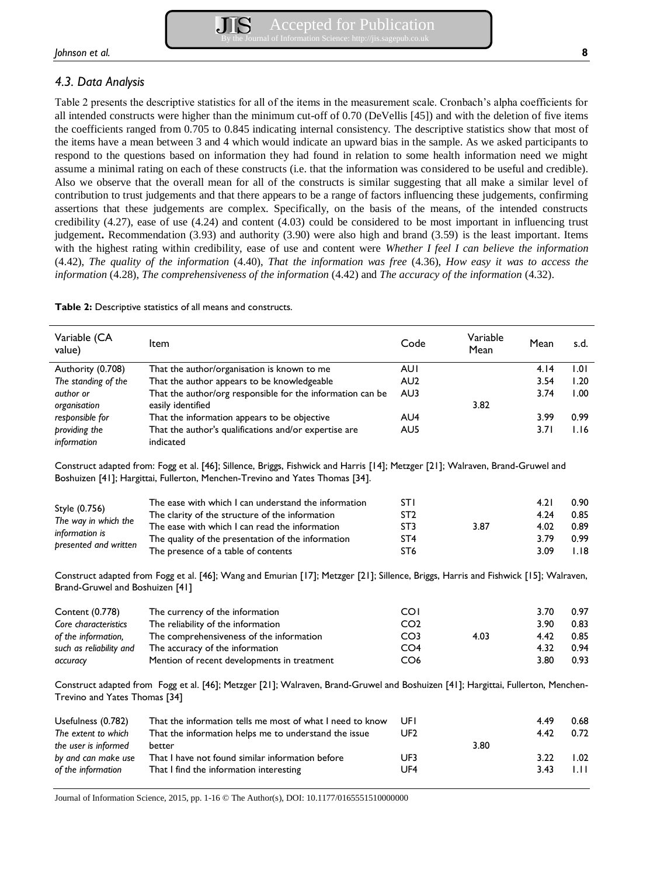# *4.3. Data Analysis*

Table 2 presents the descriptive statistics for all of the items in the measurement scale. Cronbach's alpha coefficients for all intended constructs were higher than the minimum cut-off of 0.70 (DeVellis [45]) and with the deletion of five items the coefficients ranged from 0.705 to 0.845 indicating internal consistency. The descriptive statistics show that most of the items have a mean between 3 and 4 which would indicate an upward bias in the sample. As we asked participants to respond to the questions based on information they had found in relation to some health information need we might assume a minimal rating on each of these constructs (i.e. that the information was considered to be useful and credible). Also we observe that the overall mean for all of the constructs is similar suggesting that all make a similar level of contribution to trust judgements and that there appears to be a range of factors influencing these judgements, confirming assertions that these judgements are complex. Specifically, on the basis of the means, of the intended constructs credibility (4.27), ease of use (4.24) and content (4.03) could be considered to be most important in influencing trust judgement**.** Recommendation (3.93) and authority (3.90) were also high and brand (3.59) is the least important. Items with the highest rating within credibility, ease of use and content were *Whether I feel I can believe the information* (4.42), *The quality of the information* (4.40), *That the information was free* (4.36), *How easy it was to access the information* (4.28), *The comprehensiveness of the information* (4.42) and *The accuracy of the information* (4.32).

**Table 2:** Descriptive statistics of all means and constructs.

| Variable (CA<br>Item<br>value)          |                                                                                                                                                                                                                | Code            | Variable<br>Mean | Mean | s.d. |
|-----------------------------------------|----------------------------------------------------------------------------------------------------------------------------------------------------------------------------------------------------------------|-----------------|------------------|------|------|
| Authority (0.708)                       | That the author/organisation is known to me                                                                                                                                                                    | <b>AUI</b>      |                  | 4.14 | 1.01 |
| The standing of the                     | That the author appears to be knowledgeable                                                                                                                                                                    | AU <sub>2</sub> |                  | 3.54 | 1.20 |
| author or<br>organisation               | That the author/org responsible for the information can be<br>easily identified                                                                                                                                | AU3             | 3.82             | 3.74 | 1.00 |
| responsible for                         | That the information appears to be objective                                                                                                                                                                   | AU4             |                  | 3.99 | 0.99 |
| providing the<br>information            | That the author's qualifications and/or expertise are<br>indicated                                                                                                                                             | AU5             |                  | 3.71 | 1.16 |
|                                         | Construct adapted from: Fogg et al. [46]; Sillence, Briggs, Fishwick and Harris [14]; Metzger [21]; Walraven, Brand-Gruwel and<br>Boshuizen [41]; Hargittai, Fullerton, Menchen-Trevino and Yates Thomas [34]. |                 |                  |      |      |
|                                         | The ease with which I can understand the information                                                                                                                                                           | <b>STI</b>      |                  | 4.21 | 0.90 |
| Style (0.756)<br>The way in which the   | The clarity of the structure of the information                                                                                                                                                                | ST <sub>2</sub> |                  | 4.24 | 0.85 |
|                                         | The ease with which I can read the information                                                                                                                                                                 | ST <sub>3</sub> | 3.87             | 4.02 | 0.89 |
| information is<br>presented and written | The quality of the presentation of the information                                                                                                                                                             | ST <sub>4</sub> |                  | 3.79 | 0.99 |
|                                         | The presence of a table of contents                                                                                                                                                                            | ST <sub>6</sub> |                  | 3.09 | 1.18 |
| Brand-Gruwel and Boshuizen [41]         | Construct adapted from Fogg et al. [46]; Wang and Emurian [17]; Metzger [21]; Sillence, Briggs, Harris and Fishwick [15]; Walraven,                                                                            |                 |                  |      |      |
| Content (0.778)                         | The currency of the information                                                                                                                                                                                | <b>COI</b>      |                  | 3.70 | 0.97 |
| Core characteristics                    | The reliability of the information                                                                                                                                                                             | CO <sub>2</sub> |                  | 3.90 | 0.83 |
| of the information,                     | The comprehensiveness of the information                                                                                                                                                                       | CO <sub>3</sub> | 4.03             | 4.42 | 0.85 |
| such as reliability and                 | The accuracy of the information                                                                                                                                                                                | CO <sub>4</sub> |                  | 4.32 | 0.94 |
| accuracy                                | Mention of recent developments in treatment                                                                                                                                                                    | CO <sub>6</sub> |                  | 3.80 | 0.93 |
| Trevino and Yates Thomas [34]           | Construct adapted from Fogg et al. [46]; Metzger [21]; Walraven, Brand-Gruwel and Boshuizen [41]; Hargittai, Fullerton, Menchen-                                                                               |                 |                  |      |      |
| Usefulness (0.782)                      | That the information tells me most of what I need to know                                                                                                                                                      | <b>UFI</b>      |                  | 4.49 | 0.68 |
| The extent to which                     | That the information helps me to understand the issue                                                                                                                                                          | UF <sub>2</sub> |                  | 4.42 | 0.72 |
| the user is informed                    | better                                                                                                                                                                                                         |                 | 3.80             |      |      |
| by and can make use                     | That I have not found similar information before                                                                                                                                                               | UF3             |                  | 3.22 | 1.02 |
| of the information                      | That I find the information interesting                                                                                                                                                                        | UF4             |                  | 3.43 | 1.11 |
|                                         |                                                                                                                                                                                                                |                 |                  |      |      |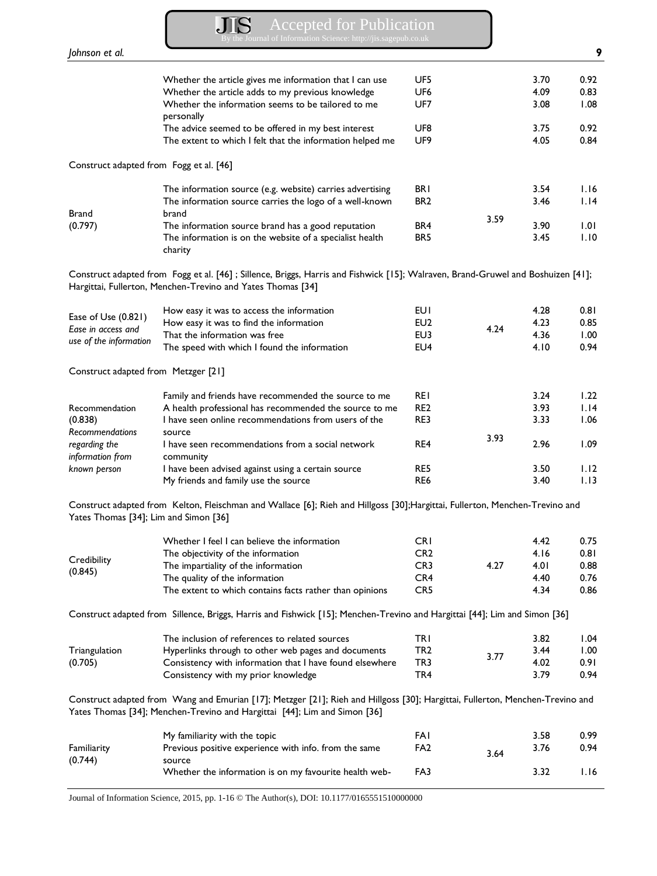Accepted for Publication By the Journal of Information Science: http://jis.sagepub.co.uk

| Johnson et al.                          |                                                                                                                                                                                                            |                 |      |              | 9            |
|-----------------------------------------|------------------------------------------------------------------------------------------------------------------------------------------------------------------------------------------------------------|-----------------|------|--------------|--------------|
|                                         | Whether the article gives me information that I can use                                                                                                                                                    | UF5             |      | 3.70         | 0.92         |
|                                         | Whether the article adds to my previous knowledge                                                                                                                                                          | UF <sub>6</sub> |      | 4.09         | 0.83         |
|                                         | Whether the information seems to be tailored to me                                                                                                                                                         | UF7             |      | 3.08         | 1.08         |
|                                         | personally                                                                                                                                                                                                 |                 |      |              |              |
|                                         | The advice seemed to be offered in my best interest                                                                                                                                                        | UF8             |      | 3.75         | 0.92         |
|                                         | The extent to which I felt that the information helped me                                                                                                                                                  | UF9             |      | 4.05         | 0.84         |
| Construct adapted from Fogg et al. [46] |                                                                                                                                                                                                            |                 |      |              |              |
|                                         | The information source (e.g. website) carries advertising                                                                                                                                                  | <b>BRI</b>      |      | 3.54         | 1.16         |
|                                         | The information source carries the logo of a well-known                                                                                                                                                    | BR <sub>2</sub> |      | 3.46         | 1.14         |
| <b>Brand</b>                            | brand                                                                                                                                                                                                      |                 | 3.59 |              |              |
| (0.797)                                 | The information source brand has a good reputation                                                                                                                                                         | BR4             |      | 3.90         | 1.01         |
|                                         | The information is on the website of a specialist health                                                                                                                                                   | BR <sub>5</sub> |      | 3.45         | 1.10         |
|                                         | charity                                                                                                                                                                                                    |                 |      |              |              |
|                                         | Construct adapted from Fogg et al. [46]; Sillence, Briggs, Harris and Fishwick [15]; Walraven, Brand-Gruwel and Boshuizen [41];<br>Hargittai, Fullerton, Menchen-Trevino and Yates Thomas [34]             |                 |      |              |              |
|                                         | How easy it was to access the information                                                                                                                                                                  | <b>EUI</b>      |      | 4.28         | 0.81         |
| Ease of Use (0.821)                     | How easy it was to find the information                                                                                                                                                                    | EU <sub>2</sub> |      | 4.23         | 0.85         |
| Ease in access and                      | That the information was free                                                                                                                                                                              | EU3             | 4.24 | 4.36         | 1.00         |
| use of the information                  | The speed with which I found the information                                                                                                                                                               | EU4             |      | 4.10         | 0.94         |
| Construct adapted from Metzger [21]     |                                                                                                                                                                                                            |                 |      |              |              |
|                                         | Family and friends have recommended the source to me                                                                                                                                                       | <b>REI</b>      |      | 3.24         | 1.22         |
| Recommendation                          | A health professional has recommended the source to me                                                                                                                                                     | RE <sub>2</sub> |      | 3.93         | 1.14         |
| (0.838)                                 | I have seen online recommendations from users of the                                                                                                                                                       | RE3             |      | 3.33         | 1.06         |
| Recommendations                         | source                                                                                                                                                                                                     |                 | 3.93 |              |              |
| regarding the                           | I have seen recommendations from a social network                                                                                                                                                          | RE4             |      | 2.96         | 1.09         |
| information from                        | community                                                                                                                                                                                                  |                 |      |              |              |
| known person                            | I have been advised against using a certain source<br>My friends and family use the source                                                                                                                 | RE5<br>RE6      |      | 3.50<br>3.40 | 1.12<br>1.13 |
| Yates Thomas [34]; Lim and Simon [36]   | Construct adapted from Kelton, Fleischman and Wallace [6]; Rieh and Hillgoss [30];Hargittai, Fullerton, Menchen-Trevino and                                                                                |                 |      |              |              |
|                                         |                                                                                                                                                                                                            |                 |      |              |              |
|                                         | Whether I feel I can believe the information                                                                                                                                                               | <b>CRI</b>      |      | 4.42         | 0.75         |
| Credibility                             | The objectivity of the information                                                                                                                                                                         | CR <sub>2</sub> |      | 4.16         | 0.81         |
| (0.845)                                 | The impartiality of the information                                                                                                                                                                        | CR <sub>3</sub> | 4.27 | 4.01         | 0.88         |
|                                         | The quality of the information                                                                                                                                                                             | CR4             |      | 4.40         | 0.76         |
|                                         | The extent to which contains facts rather than opinions                                                                                                                                                    | CR <sub>5</sub> |      | 4.34         | 0.86         |
|                                         | Construct adapted from Sillence, Briggs, Harris and Fishwick [15]; Menchen-Trevino and Hargittai [44]; Lim and Simon [36]                                                                                  |                 |      |              |              |
|                                         | The inclusion of references to related sources                                                                                                                                                             | TRI             |      | 3.82         | 1.04         |
| Triangulation                           | Hyperlinks through to other web pages and documents                                                                                                                                                        | TR <sub>2</sub> |      | 3.44         | 1.00         |
| (0.705)                                 | Consistency with information that I have found elsewhere                                                                                                                                                   | TR3             | 3.77 | 4.02         | 0.91         |
|                                         | Consistency with my prior knowledge                                                                                                                                                                        | TR4             |      | 3.79         | 0.94         |
|                                         | Construct adapted from Wang and Emurian [17]; Metzger [21]; Rieh and Hillgoss [30]; Hargittai, Fullerton, Menchen-Trevino and<br>Yates Thomas [34]; Menchen-Trevino and Hargittai [44]; Lim and Simon [36] |                 |      |              |              |
|                                         | My familiarity with the topic                                                                                                                                                                              | FAI             |      | 3.58         | 0.99         |
| Familiarity                             | Previous positive experience with info. from the same                                                                                                                                                      | FA <sub>2</sub> |      | 3.76         | 0.94         |
| (0.744)                                 | source                                                                                                                                                                                                     |                 | 3.64 |              |              |
|                                         | Whether the information is on my favourite health web-                                                                                                                                                     | FA3             |      | 3.32         | 1.16         |
|                                         |                                                                                                                                                                                                            |                 |      |              |              |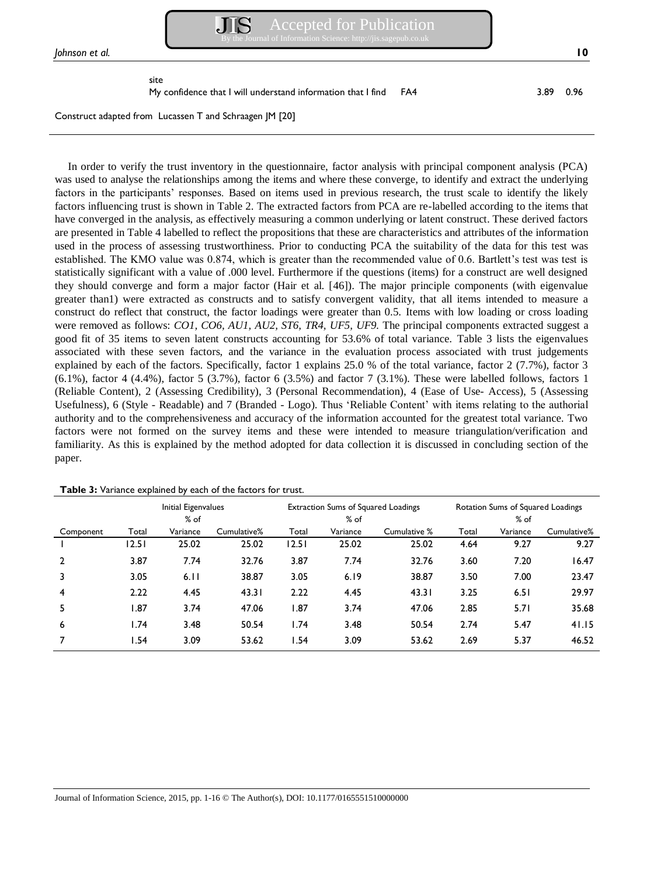

site

My confidence that I will understand information that I find FA4 3.89 0.96

Construct adapted from Lucassen T and Schraagen JM [20]

In order to verify the trust inventory in the questionnaire, factor analysis with principal component analysis (PCA) was used to analyse the relationships among the items and where these converge, to identify and extract the underlying factors in the participants' responses. Based on items used in previous research, the trust scale to identify the likely factors influencing trust is shown in Table 2. The extracted factors from PCA are re-labelled according to the items that have converged in the analysis, as effectively measuring a common underlying or latent construct. These derived factors are presented in Table 4 labelled to reflect the propositions that these are characteristics and attributes of the information used in the process of assessing trustworthiness. Prior to conducting PCA the suitability of the data for this test was established. The KMO value was 0.874, which is greater than the recommended value of 0.6. Bartlett's test was test is statistically significant with a value of .000 level. Furthermore if the questions (items) for a construct are well designed they should converge and form a major factor (Hair et al. [46]). The major principle components (with eigenvalue greater than1) were extracted as constructs and to satisfy convergent validity, that all items intended to measure a construct do reflect that construct, the factor loadings were greater than 0.5. Items with low loading or cross loading were removed as follows: *CO1, CO6, AU1, AU2, ST6, TR4, UF5, UF9.* The principal components extracted suggest a good fit of 35 items to seven latent constructs accounting for 53.6% of total variance. Table 3 lists the eigenvalues associated with these seven factors, and the variance in the evaluation process associated with trust judgements explained by each of the factors. Specifically, factor 1 explains 25.0 % of the total variance, factor 2 (7.7%), factor 3  $(6.1\%)$ , factor 4  $(4.4\%)$ , factor 5  $(3.7\%)$ , factor 6  $(3.5\%)$  and factor 7  $(3.1\%)$ . These were labelled follows, factors 1 (Reliable Content), 2 (Assessing Credibility), 3 (Personal Recommendation), 4 (Ease of Use- Access), 5 (Assessing Usefulness), 6 (Style - Readable) and 7 (Branded - Logo). Thus 'Reliable Content' with items relating to the authorial authority and to the comprehensiveness and accuracy of the information accounted for the greatest total variance. Two factors were not formed on the survey items and these were intended to measure triangulation/verification and familiarity. As this is explained by the method adopted for data collection it is discussed in concluding section of the paper.

|           | Initial Eigenvalues |                    | Extraction Sums of Squared Loadings |       |                    | Rotation Sums of Squared Loadings |       |                    |             |
|-----------|---------------------|--------------------|-------------------------------------|-------|--------------------|-----------------------------------|-------|--------------------|-------------|
| Component | Total               | $%$ of<br>Variance | Cumulative%                         | Total | $%$ of<br>Variance | Cumulative %                      | Total | $%$ of<br>Variance | Cumulative% |
|           | 12.51               | 25.02              | 25.02                               | 12.51 | 25.02              | 25.02                             | 4.64  | 9.27               | 9.27        |
|           | 3.87                | 7.74               | 32.76                               | 3.87  | 7.74               | 32.76                             | 3.60  | 7.20               | 16.47       |
| 3         | 3.05                | 6.11               | 38.87                               | 3.05  | 6.19               | 38.87                             | 3.50  | 7.00               | 23.47       |
| 4         | 2.22                | 4.45               | 43.31                               | 2.22  | 4.45               | 43.31                             | 3.25  | 6.51               | 29.97       |
| 5         | l.87                | 3.74               | 47.06                               | 1.87  | 3.74               | 47.06                             | 2.85  | 5.71               | 35.68       |
| 6         | 1.74                | 3.48               | 50.54                               | 1.74  | 3.48               | 50.54                             | 2.74  | 5.47               | 41.15       |
|           | 1.54                | 3.09               | 53.62                               | 1.54  | 3.09               | 53.62                             | 2.69  | 5.37               | 46.52       |

**Table 3:** Variance explained by each of the factors for trust.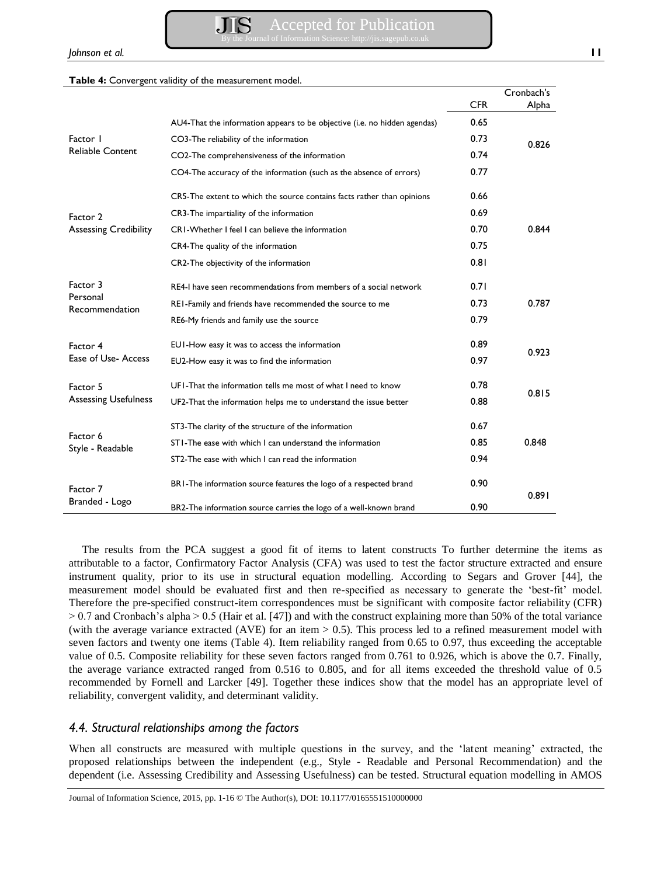#### **Table 4:** Convergent validity of the measurement model.

|                              |                                                                           |               | Cronbach's |  |
|------------------------------|---------------------------------------------------------------------------|---------------|------------|--|
|                              |                                                                           | <b>CFR</b>    | Alpha      |  |
|                              | AU4-That the information appears to be objective (i.e. no hidden agendas) | 0.65          |            |  |
| Factor 1                     | CO3-The reliability of the information                                    | 0.73          | 0.826      |  |
| <b>Reliable Content</b>      | CO2-The comprehensiveness of the information                              | 0.74          |            |  |
|                              | CO4-The accuracy of the information (such as the absence of errors)       | 0.77          |            |  |
|                              | CR5-The extent to which the source contains facts rather than opinions    | 0.66          |            |  |
| Factor 2                     | CR3-The impartiality of the information                                   | 0.69          |            |  |
| <b>Assessing Credibility</b> | CRI-Whether I feel I can believe the information                          | 0.70          | 0.844      |  |
|                              | CR4-The quality of the information                                        | 0.75          |            |  |
|                              | CR2-The objectivity of the information                                    | 0.81          |            |  |
| Factor 3                     | RE4-I have seen recommendations from members of a social network          | 0.71          |            |  |
| Personal<br>Recommendation   | REI-Family and friends have recommended the source to me                  | 0.73          | 0.787      |  |
|                              | RE6-My friends and family use the source                                  | 0.79          |            |  |
| Factor 4                     | EUI-How easy it was to access the information                             | 0.89          | 0.923      |  |
| Ease of Use-Access           | EU2-How easy it was to find the information                               | 0.97          |            |  |
| Factor 5                     | UFI-That the information tells me most of what I need to know             | 0.78<br>0.815 |            |  |
| <b>Assessing Usefulness</b>  | UF2-That the information helps me to understand the issue better          | 0.88          |            |  |
| Factor 6<br>Style - Readable | ST3-The clarity of the structure of the information                       | 0.67          |            |  |
|                              | STI-The ease with which I can understand the information                  | 0.85          | 0.848      |  |
|                              | ST2-The ease with which I can read the information                        | 0.94          |            |  |
| Factor 7<br>Branded - Logo   | BRI-The information source features the logo of a respected brand         | 0.90          |            |  |
|                              | BR2-The information source carries the logo of a well-known brand         | 0.90          | 0.891      |  |

The results from the PCA suggest a good fit of items to latent constructs To further determine the items as attributable to a factor, Confirmatory Factor Analysis (CFA) was used to test the factor structure extracted and ensure instrument quality, prior to its use in structural equation modelling. According to Segars and Grover [44], the measurement model should be evaluated first and then re-specified as necessary to generate the 'best-fit' model. Therefore the pre-specified construct-item correspondences must be significant with composite factor reliability (CFR)  $> 0.7$  and Cronbach's alpha  $> 0.5$  (Hair et al. [47]) and with the construct explaining more than 50% of the total variance (with the average variance extracted (AVE) for an item > 0.5). This process led to a refined measurement model with seven factors and twenty one items (Table 4). Item reliability ranged from 0.65 to 0.97, thus exceeding the acceptable value of 0.5. Composite reliability for these seven factors ranged from 0.761 to 0.926, which is above the 0.7. Finally, the average variance extracted ranged from 0.516 to 0.805, and for all items exceeded the threshold value of 0.5 recommended by Fornell and Larcker [49]. Together these indices show that the model has an appropriate level of reliability, convergent validity, and determinant validity.

# *4.4. Structural relationships among the factors*

When all constructs are measured with multiple questions in the survey, and the 'latent meaning' extracted, the proposed relationships between the independent (e.g., Style - Readable and Personal Recommendation) and the dependent (i.e. Assessing Credibility and Assessing Usefulness) can be tested. Structural equation modelling in AMOS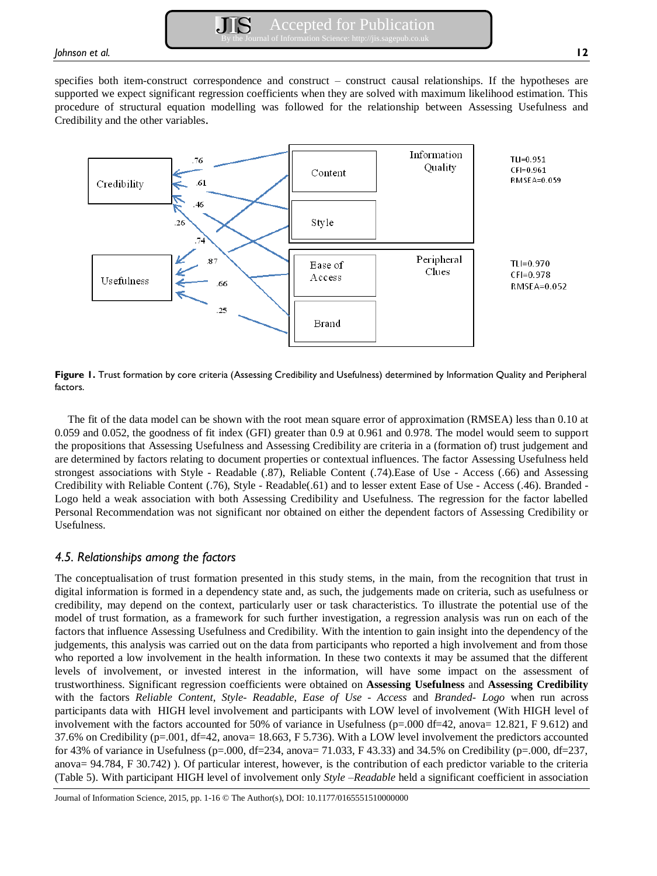specifies both item-construct correspondence and construct – construct causal relationships. If the hypotheses are supported we expect significant regression coefficients when they are solved with maximum likelihood estimation. This procedure of structural equation modelling was followed for the relationship between Assessing Usefulness and Credibility and the other variables.



**Figure 1.** Trust formation by core criteria (Assessing Credibility and Usefulness) determined by Information Quality and Peripheral factors.

The fit of the data model can be shown with the root mean square error of approximation (RMSEA) less than 0.10 at 0.059 and 0.052, the goodness of fit index (GFI) greater than 0.9 at 0.961 and 0.978. The model would seem to support the propositions that Assessing Usefulness and Assessing Credibility are criteria in a (formation of) trust judgement and are determined by factors relating to document properties or contextual influences. The factor Assessing Usefulness held strongest associations with Style - Readable (.87), Reliable Content (.74).Ease of Use - Access (.66) and Assessing Credibility with Reliable Content (.76), Style - Readable(.61) and to lesser extent Ease of Use - Access (.46). Branded - Logo held a weak association with both Assessing Credibility and Usefulness. The regression for the factor labelled Personal Recommendation was not significant nor obtained on either the dependent factors of Assessing Credibility or Usefulness.

# *4.5. Relationships among the factors*

The conceptualisation of trust formation presented in this study stems, in the main, from the recognition that trust in digital information is formed in a dependency state and, as such, the judgements made on criteria, such as usefulness or credibility, may depend on the context, particularly user or task characteristics. To illustrate the potential use of the model of trust formation, as a framework for such further investigation, a regression analysis was run on each of the factors that influence Assessing Usefulness and Credibility. With the intention to gain insight into the dependency of the judgements, this analysis was carried out on the data from participants who reported a high involvement and from those who reported a low involvement in the health information. In these two contexts it may be assumed that the different levels of involvement, or invested interest in the information, will have some impact on the assessment of trustworthiness. Significant regression coefficients were obtained on **Assessing Usefulness** and **Assessing Credibility** with the factors *Reliable Content*, *Style- Readable*, *Ease of Use - Access* and *Branded- Logo* when run across participants data with HIGH level involvement and participants with LOW level of involvement (With HIGH level of involvement with the factors accounted for 50% of variance in Usefulness (p=.000 df=42, anova= 12.821, F 9.612) and 37.6% on Credibility (p=.001, df=42, anova= 18.663, F 5.736). With a LOW level involvement the predictors accounted for 43% of variance in Usefulness (p=.000, df=234, anova= 71.033, F 43.33) and 34.5% on Credibility (p=.000, df=237, anova= 94.784, F 30.742) ). Of particular interest, however, is the contribution of each predictor variable to the criteria (Table 5). With participant HIGH level of involvement only *Style –Readable* held a significant coefficient in association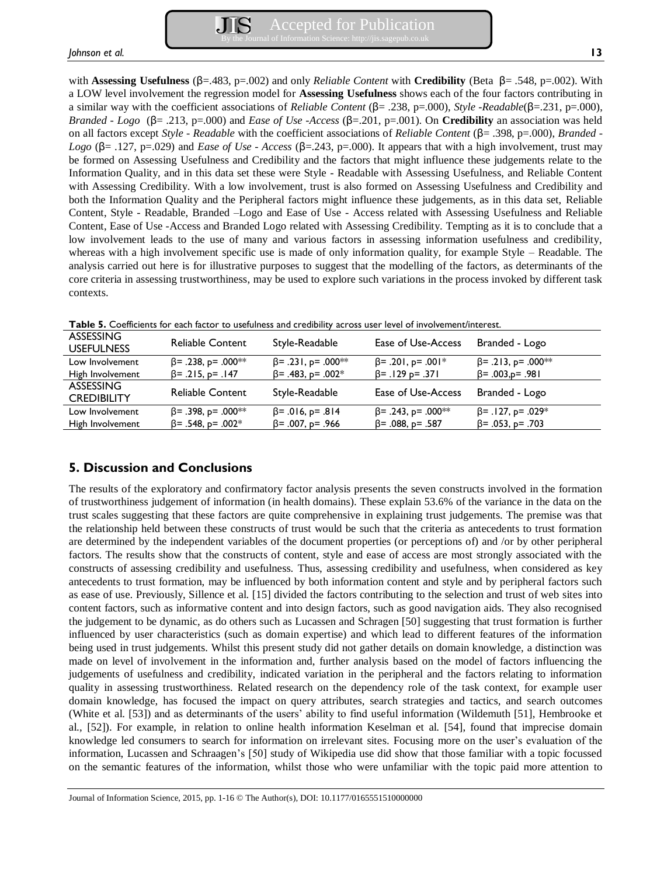with **Assessing Usefulness** (β=.483, p=.002) and only *Reliable Content* with **Credibility** (Beta β= .548, p=.002). With a LOW level involvement the regression model for **Assessing Usefulness** shows each of the four factors contributing in a similar way with the coefficient associations of *Reliable Content* (β= .238, p=.000), *Style -Readable*(β=.231, p=.000), *Branded - Logo* (β= .213, p=.000) and *Ease of Use -Access* (β=.201, p=.001). On **Credibility** an association was held on all factors except *Style - Readable* with the coefficient associations of *Reliable Content* (β= .398, p=.000), *Branded - Logo* (β= .127, p=.029) and *Ease of Use - Access* (β=.243, p=.000). It appears that with a high involvement, trust may be formed on Assessing Usefulness and Credibility and the factors that might influence these judgements relate to the Information Quality, and in this data set these were Style - Readable with Assessing Usefulness, and Reliable Content with Assessing Credibility. With a low involvement, trust is also formed on Assessing Usefulness and Credibility and both the Information Quality and the Peripheral factors might influence these judgements, as in this data set, Reliable Content, Style - Readable, Branded –Logo and Ease of Use - Access related with Assessing Usefulness and Reliable Content, Ease of Use -Access and Branded Logo related with Assessing Credibility. Tempting as it is to conclude that a low involvement leads to the use of many and various factors in assessing information usefulness and credibility, whereas with a high involvement specific use is made of only information quality, for example Style – Readable. The analysis carried out here is for illustrative purposes to suggest that the modelling of the factors, as determinants of the core criteria in assessing trustworthiness, may be used to explore such variations in the process invoked by different task contexts.

| <b>ASSESSING</b><br><b>USEFULNESS</b>  | <b>Reliable Content</b>   | Style-Readable            | Ease of Use-Access        | Branded - Logo            |
|----------------------------------------|---------------------------|---------------------------|---------------------------|---------------------------|
| Low Involvement                        | $\beta$ = .238, p= .000** | $\beta$ = .231, p= .000** | $\beta$ = .201, p= .001*  | $\beta$ = .213, p= .000** |
| High Involvement                       | $\beta$ = .215, p= .147   | $\beta$ = .483, p= .002*  | $\beta$ = .129 p= .371    | $\beta$ = .003, p= .981   |
| <b>ASSESSING</b><br><b>CREDIBILITY</b> | <b>Reliable Content</b>   | Style-Readable            | Ease of Use-Access        | Branded - Logo            |
| Low Involvement                        | $\beta$ = .398, p= .000** | $\beta$ = .016, p= .814   | $\beta$ = .243, p= .000** | $\beta$ = .127, p= .029*  |
| High Involvement                       | $\beta$ = .548, p= .002*  | $\beta$ = .007, p= .966   | $\beta$ = .088, p= .587   | $\beta$ = .053, p= .703   |

**Table 5.** Coefficients for each factor to usefulness and credibility across user level of involvement/interest.

# **5. Discussion and Conclusions**

The results of the exploratory and confirmatory factor analysis presents the seven constructs involved in the formation of trustworthiness judgement of information (in health domains). These explain 53.6% of the variance in the data on the trust scales suggesting that these factors are quite comprehensive in explaining trust judgements. The premise was that the relationship held between these constructs of trust would be such that the criteria as antecedents to trust formation are determined by the independent variables of the document properties (or perceptions of) and /or by other peripheral factors. The results show that the constructs of content, style and ease of access are most strongly associated with the constructs of assessing credibility and usefulness. Thus, assessing credibility and usefulness, when considered as key antecedents to trust formation, may be influenced by both information content and style and by peripheral factors such as ease of use. Previously, Sillence et al. [15] divided the factors contributing to the selection and trust of web sites into content factors, such as informative content and into design factors, such as good navigation aids. They also recognised the judgement to be dynamic, as do others such as Lucassen and Schragen [50] suggesting that trust formation is further influenced by user characteristics (such as domain expertise) and which lead to different features of the information being used in trust judgements. Whilst this present study did not gather details on domain knowledge, a distinction was made on level of involvement in the information and, further analysis based on the model of factors influencing the judgements of usefulness and credibility, indicated variation in the peripheral and the factors relating to information quality in assessing trustworthiness. Related research on the dependency role of the task context, for example user domain knowledge, has focused the impact on query attributes, search strategies and tactics, and search outcomes (White et al. [53]) and as determinants of the users' ability to find useful information (Wildemuth [51], Hembrooke et al., [52]). For example, in relation to online health information Keselman et al. [54], found that imprecise domain knowledge led consumers to search for information on irrelevant sites. Focusing more on the user's evaluation of the information, Lucassen and Schraagen's [50] study of Wikipedia use did show that those familiar with a topic focussed on the semantic features of the information, whilst those who were unfamiliar with the topic paid more attention to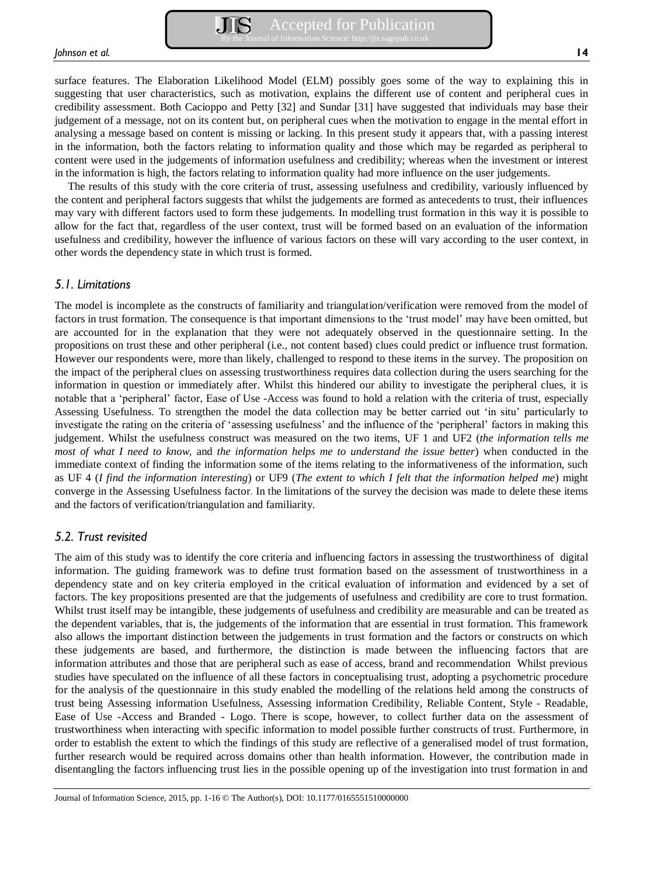surface features. The Elaboration Likelihood Model (ELM) possibly goes some of the way to explaining this in suggesting that user characteristics, such as motivation, explains the different use of content and peripheral cues in credibility assessment. Both Cacioppo and Petty [32] and Sundar [31] have suggested that individuals may base their judgement of a message, not on its content but, on peripheral cues when the motivation to engage in the mental effort in analysing a message based on content is missing or lacking. In this present study it appears that, with a passing interest in the information, both the factors relating to information quality and those which may be regarded as peripheral to content were used in the judgements of information usefulness and credibility; whereas when the investment or interest in the information is high, the factors relating to information quality had more influence on the user judgements.

The results of this study with the core criteria of trust, assessing usefulness and credibility, variously influenced by the content and peripheral factors suggests that whilst the judgements are formed as antecedents to trust, their influences may vary with different factors used to form these judgements. In modelling trust formation in this way it is possible to allow for the fact that, regardless of the user context, trust will be formed based on an evaluation of the information usefulness and credibility, however the influence of various factors on these will vary according to the user context, in other words the dependency state in which trust is formed.

## *5.1. Limitations*

The model is incomplete as the constructs of familiarity and triangulation/verification were removed from the model of factors in trust formation. The consequence is that important dimensions to the 'trust model' may have been omitted, but are accounted for in the explanation that they were not adequately observed in the questionnaire setting. In the propositions on trust these and other peripheral (i.e., not content based) clues could predict or influence trust formation. However our respondents were, more than likely, challenged to respond to these items in the survey. The proposition on the impact of the peripheral clues on assessing trustworthiness requires data collection during the users searching for the information in question or immediately after. Whilst this hindered our ability to investigate the peripheral clues, it is notable that a 'peripheral' factor, Ease of Use -Access was found to hold a relation with the criteria of trust, especially Assessing Usefulness. To strengthen the model the data collection may be better carried out 'in situ' particularly to investigate the rating on the criteria of 'assessing usefulness' and the influence of the 'peripheral' factors in making this judgement. Whilst the usefulness construct was measured on the two items, UF 1 and UF2 (*the information tells me most of what I need to know,* and *the information helps me to understand the issue better*) when conducted in the immediate context of finding the information some of the items relating to the informativeness of the information, such as UF 4 (*I find the information interesting*) or UF9 (*The extent to which I felt that the information helped me*) might converge in the Assessing Usefulness factor. In the limitations of the survey the decision was made to delete these items and the factors of verification/triangulation and familiarity.

# *5.2. Trust revisited*

The aim of this study was to identify the core criteria and influencing factors in assessing the trustworthiness of digital information. The guiding framework was to define trust formation based on the assessment of trustworthiness in a dependency state and on key criteria employed in the critical evaluation of information and evidenced by a set of factors. The key propositions presented are that the judgements of usefulness and credibility are core to trust formation. Whilst trust itself may be intangible, these judgements of usefulness and credibility are measurable and can be treated as the dependent variables, that is, the judgements of the information that are essential in trust formation. This framework also allows the important distinction between the judgements in trust formation and the factors or constructs on which these judgements are based, and furthermore, the distinction is made between the influencing factors that are information attributes and those that are peripheral such as ease of access, brand and recommendation Whilst previous studies have speculated on the influence of all these factors in conceptualising trust, adopting a psychometric procedure for the analysis of the questionnaire in this study enabled the modelling of the relations held among the constructs of trust being Assessing information Usefulness, Assessing information Credibility, Reliable Content, Style - Readable, Ease of Use -Access and Branded - Logo. There is scope, however, to collect further data on the assessment of trustworthiness when interacting with specific information to model possible further constructs of trust. Furthermore, in order to establish the extent to which the findings of this study are reflective of a generalised model of trust formation, further research would be required across domains other than health information. However, the contribution made in disentangling the factors influencing trust lies in the possible opening up of the investigation into trust formation in and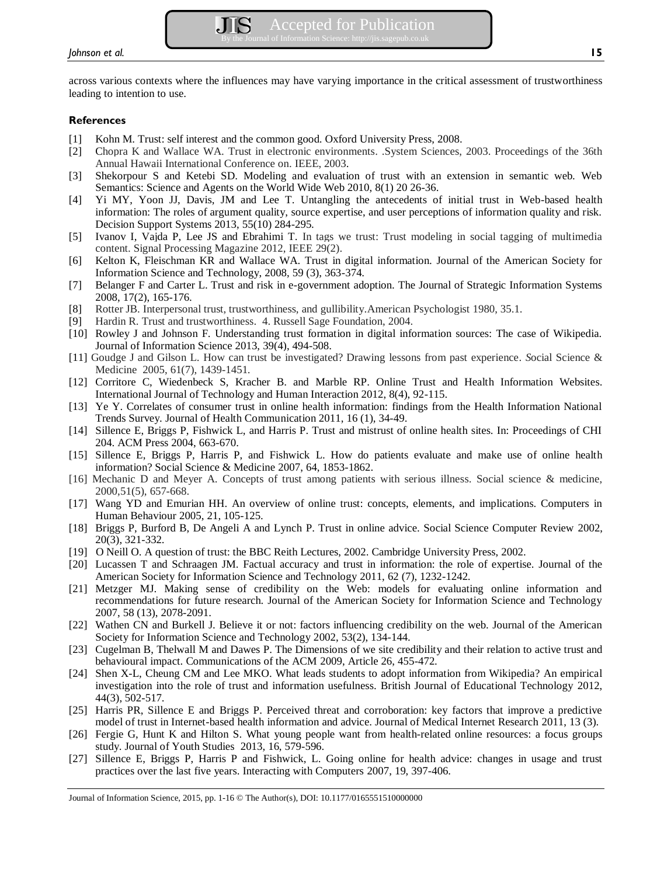across various contexts where the influences may have varying importance in the critical assessment of trustworthiness leading to intention to use.

## **References**

- [1] Kohn M. Trust: self interest and the common good. Oxford University Press, 2008.
- [2] Chopra K and Wallace WA. Trust in electronic environments. .System Sciences, 2003. Proceedings of the 36th Annual Hawaii International Conference on. IEEE, 2003.
- [3] Shekorpour S and Ketebi SD. Modeling and evaluation of trust with an extension in semantic web. Web Semantics: Science and Agents on the World Wide Web 2010, 8(1) 20 26-36.
- [4] Yi MY, Yoon JJ, Davis, JM and Lee T. Untangling the antecedents of initial trust in Web-based health information: The roles of argument quality, source expertise, and user perceptions of information quality and risk. Decision Support Systems 2013, 55(10) 284-295.
- [5] Ivanov I, Vajda P, Lee JS and Ebrahimi T. In tags we trust: Trust modeling in social tagging of multimedia content. Signal Processing Magazine 2012, IEEE 29(2).
- [6] Kelton K, Fleischman KR and Wallace WA. Trust in digital information. Journal of the American Society for Information Science and Technology, 2008, 59 (3), 363-374.
- [7] Belanger F and Carter L. Trust and risk in e-government adoption. The Journal of Strategic Information Systems 2008, 17(2), 165-176.
- [8] Rotter JB. Interpersonal trust, trustworthiness, and gullibility.American Psychologist 1980, 35.1.
- [9] Hardin R. Trust and trustworthiness. 4. Russell Sage Foundation, 2004.
- [10] Rowley J and Johnson F. Understanding trust formation in digital information sources: The case of Wikipedia. Journal of Information Science 2013, 39(4), 494-508.
- [11] Goudge J and Gilson L. How can trust be investigated? Drawing lessons from past experience. *S*ocial Science & Medicine 2005, 61(7), 1439-1451.
- [12] Corritore C, Wiedenbeck S, Kracher B. and Marble RP. Online Trust and Health Information Websites. International Journal of Technology and Human Interaction 2012, 8(4), 92-115.
- [13] Ye Y. Correlates of consumer trust in online health information: findings from the Health Information National Trends Survey. Journal of Health Communication 2011, 16 (1), 34-49.
- [14] Sillence E, Briggs P, Fishwick L, and Harris P. Trust and mistrust of online health sites. In: Proceedings of CHI 204. ACM Press 2004, 663-670.
- [15] Sillence E, Briggs P, Harris P, and Fishwick L. How do patients evaluate and make use of online health information? Social Science & Medicine 2007, 64, 1853-1862.
- [16] Mechanic D and Meyer A. Concepts of trust among patients with serious illness. Social science & medicine, 2000,51(5), 657-668.
- [17] Wang YD and Emurian HH. An overview of online trust: concepts, elements, and implications. Computers in Human Behaviour 2005, 21, 105-125.
- [18] Briggs P, Burford B, De Angeli A and Lynch P. Trust in online advice. Social Science Computer Review 2002, 20(3), 321-332.
- [19] O Neill O. A question of trust: the BBC Reith Lectures, 2002. Cambridge University Press, 2002.
- [20] Lucassen T and Schraagen JM. Factual accuracy and trust in information: the role of expertise. Journal of the American Society for Information Science and Technology 2011, 62 (7), 1232-1242.
- [21] Metzger MJ. Making sense of credibility on the Web: models for evaluating online information and recommendations for future research. Journal of the American Society for Information Science and Technology 2007, 58 (13), 2078-2091.
- [22] Wathen CN and Burkell J. Believe it or not: factors influencing credibility on the web. Journal of the American Society for Information Science and Technology 2002, 53(2), 134-144.
- [23] Cugelman B, Thelwall M and Dawes P. The Dimensions of we site credibility and their relation to active trust and behavioural impact. Communications of the ACM 2009, Article 26, 455-472.
- [24] Shen X-L, Cheung CM and Lee MKO. What leads students to adopt information from Wikipedia? An empirical investigation into the role of trust and information usefulness. British Journal of Educational Technology 2012, 44(3), 502-517.
- [25] Harris PR, Sillence E and Briggs P. Perceived threat and corroboration: key factors that improve a predictive model of trust in Internet-based health information and advice. Journal of Medical Internet Research 2011, 13 (3).
- [26] Fergie G, Hunt K and Hilton S. What young people want from health-related online resources: a focus groups study. Journal of Youth Studies 2013, 16, 579-596.
- [27] Sillence E, Briggs P, Harris P and Fishwick, L. Going online for health advice: changes in usage and trust practices over the last five years. Interacting with Computers 2007, 19, 397-406.